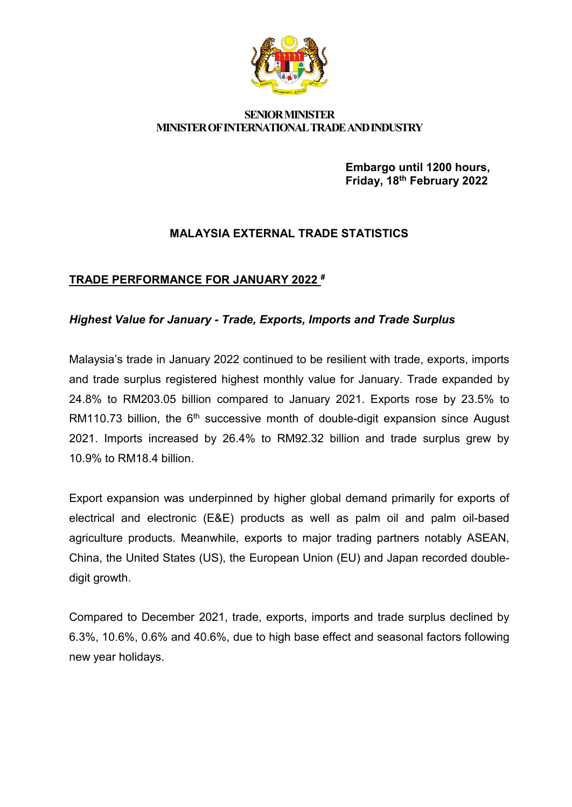

#### **SENIOR MINISTER MINISTER OF INTERNATIONAL TRADE AND INDUSTRY**

**Embargo until 1200 hours, Friday, 18th February 2022**

# **MALAYSIA EXTERNAL TRADE STATISTICS**

# **TRADE PERFORMANCE FOR JANUARY 2022 #**

# *Highest Value for January - Trade, Exports, Imports and Trade Surplus*

Malaysia's trade in January 2022 continued to be resilient with trade, exports, imports and trade surplus registered highest monthly value for January. Trade expanded by 24.8% to RM203.05 billion compared to January 2021. Exports rose by 23.5% to RM110.73 billion, the  $6<sup>th</sup>$  successive month of double-digit expansion since August 2021. Imports increased by 26.4% to RM92.32 billion and trade surplus grew by 10.9% to RM18.4 billion.

Export expansion was underpinned by higher global demand primarily for exports of electrical and electronic (E&E) products as well as palm oil and palm oil-based agriculture products. Meanwhile, exports to major trading partners notably ASEAN, China, the United States (US), the European Union (EU) and Japan recorded doubledigit growth.

Compared to December 2021, trade, exports, imports and trade surplus declined by 6.3%, 10.6%, 0.6% and 40.6%, due to high base effect and seasonal factors following new year holidays.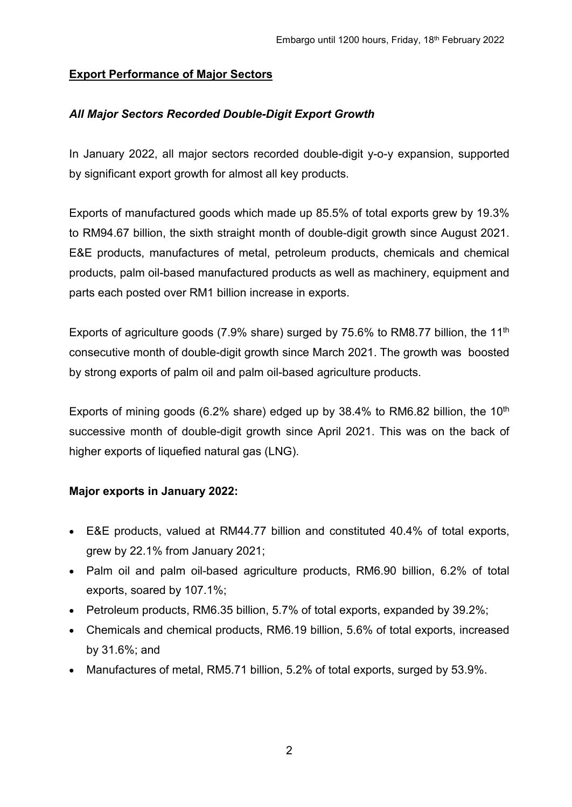# **Export Performance of Major Sectors**

# *All Major Sectors Recorded Double-Digit Export Growth*

In January 2022, all major sectors recorded double-digit y-o-y expansion, supported by significant export growth for almost all key products.

Exports of manufactured goods which made up 85.5% of total exports grew by 19.3% to RM94.67 billion, the sixth straight month of double-digit growth since August 2021. E&E products, manufactures of metal, petroleum products, chemicals and chemical products, palm oil-based manufactured products as well as machinery, equipment and parts each posted over RM1 billion increase in exports.

Exports of agriculture goods (7.9% share) surged by 75.6% to RM8.77 billion, the 11<sup>th</sup> consecutive month of double-digit growth since March 2021. The growth was boosted by strong exports of palm oil and palm oil-based agriculture products.

Exports of mining goods (6.2% share) edged up by  $38.4\%$  to RM6.82 billion, the  $10<sup>th</sup>$ successive month of double-digit growth since April 2021. This was on the back of higher exports of liquefied natural gas (LNG).

# **Major exports in January 2022:**

- E&E products, valued at RM44.77 billion and constituted 40.4% of total exports, grew by 22.1% from January 2021;
- Palm oil and palm oil-based agriculture products, RM6.90 billion, 6.2% of total exports, soared by 107.1%;
- Petroleum products, RM6.35 billion, 5.7% of total exports, expanded by 39.2%;
- Chemicals and chemical products, RM6.19 billion, 5.6% of total exports, increased by 31.6%; and
- Manufactures of metal, RM5.71 billion, 5.2% of total exports, surged by 53.9%.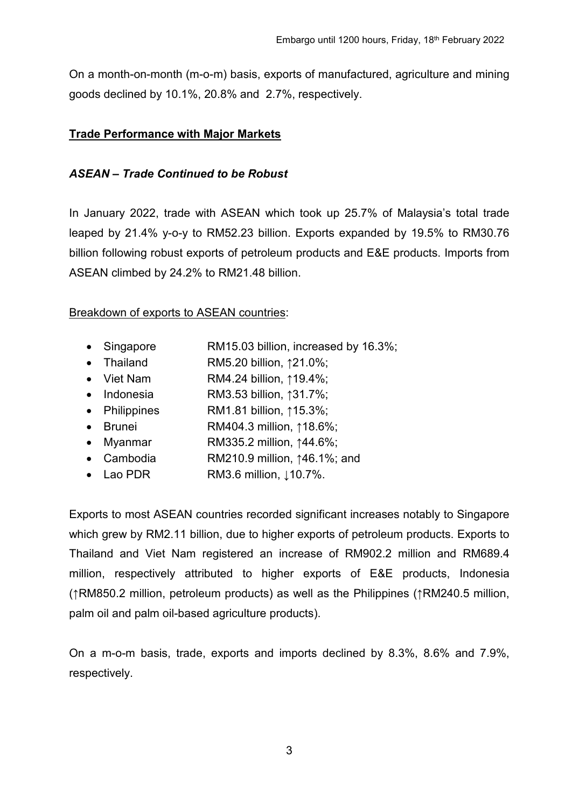On a month-on-month (m-o-m) basis, exports of manufactured, agriculture and mining goods declined by 10.1%, 20.8% and 2.7%, respectively.

### **Trade Performance with Major Markets**

### *ASEAN – Trade Continued to be Robust*

In January 2022, trade with ASEAN which took up 25.7% of Malaysia's total trade leaped by 21.4% y-o-y to RM52.23 billion. Exports expanded by 19.5% to RM30.76 billion following robust exports of petroleum products and E&E products. Imports from ASEAN climbed by 24.2% to RM21.48 billion.

### Breakdown of exports to ASEAN countries:

- Singapore RM15.03 billion, increased by 16.3%;
- Thailand RM5.20 billion, ↑21.0%;
- Viet Nam RM4.24 billion, ↑19.4%;
- Indonesia RM3.53 billion, ↑31.7%;
- Philippines RM1.81 billion, ↑15.3%;
- Brunei RM404.3 million, ↑18.6%;
- Myanmar RM335.2 million, ↑44.6%;
- Cambodia RM210.9 million, ↑46.1%; and
- Lao PDR RM3.6 million, ↓10.7%.

Exports to most ASEAN countries recorded significant increases notably to Singapore which grew by RM2.11 billion, due to higher exports of petroleum products. Exports to Thailand and Viet Nam registered an increase of RM902.2 million and RM689.4 million, respectively attributed to higher exports of E&E products, Indonesia (↑RM850.2 million, petroleum products) as well as the Philippines (↑RM240.5 million, palm oil and palm oil-based agriculture products).

On a m-o-m basis, trade, exports and imports declined by 8.3%, 8.6% and 7.9%, respectively.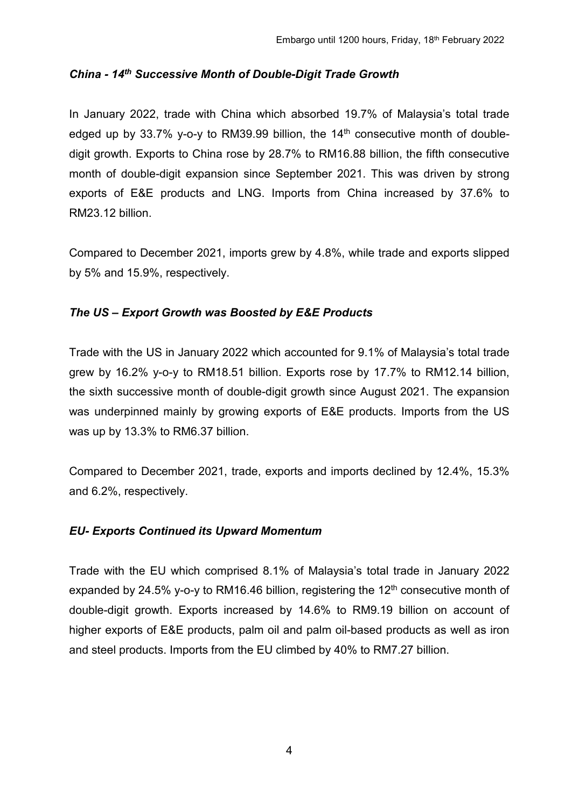### *China - 14th Successive Month of Double-Digit Trade Growth*

In January 2022, trade with China which absorbed 19.7% of Malaysia's total trade edged up by 33.7% y-o-y to RM39.99 billion, the  $14<sup>th</sup>$  consecutive month of doubledigit growth. Exports to China rose by 28.7% to RM16.88 billion, the fifth consecutive month of double-digit expansion since September 2021. This was driven by strong exports of E&E products and LNG. Imports from China increased by 37.6% to RM23.12 billion.

Compared to December 2021, imports grew by 4.8%, while trade and exports slipped by 5% and 15.9%, respectively.

# *The US – Export Growth was Boosted by E&E Products*

Trade with the US in January 2022 which accounted for 9.1% of Malaysia's total trade grew by 16.2% y-o-y to RM18.51 billion. Exports rose by 17.7% to RM12.14 billion, the sixth successive month of double-digit growth since August 2021. The expansion was underpinned mainly by growing exports of E&E products. Imports from the US was up by 13.3% to RM6.37 billion.

Compared to December 2021, trade, exports and imports declined by 12.4%, 15.3% and 6.2%, respectively.

#### *EU- Exports Continued its Upward Momentum*

Trade with the EU which comprised 8.1% of Malaysia's total trade in January 2022 expanded by 24.5% y-o-y to RM16.46 billion, registering the  $12<sup>th</sup>$  consecutive month of double-digit growth. Exports increased by 14.6% to RM9.19 billion on account of higher exports of E&E products, palm oil and palm oil-based products as well as iron and steel products. Imports from the EU climbed by 40% to RM7.27 billion.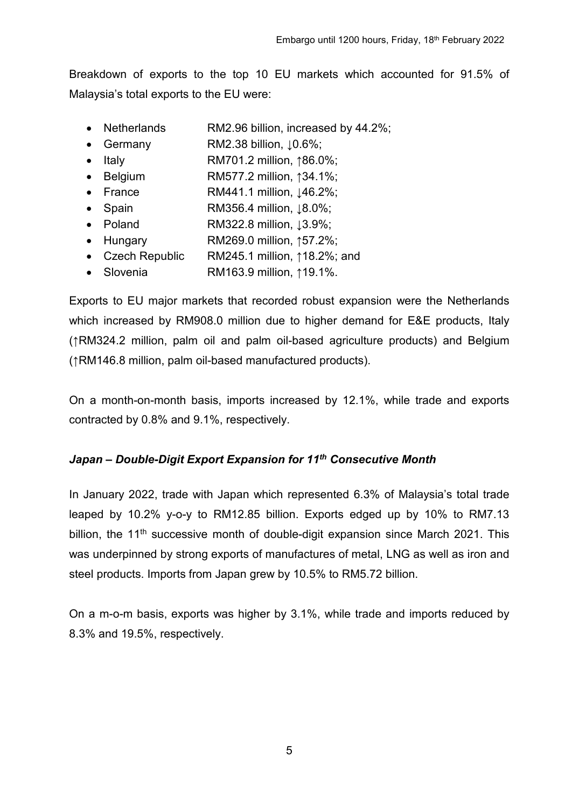Breakdown of exports to the top 10 EU markets which accounted for 91.5% of Malaysia's total exports to the EU were:

- Netherlands RM2.96 billion, increased by 44.2%;
- Germany RM2.38 billion,  $\lfloor 0.6\% \rfloor$
- Italy RM701.2 million, ↑86.0%;
- Belgium RM577.2 million, ↑34.1%;
- France RM441.1 million,  $\downarrow$ 46.2%;
- Spain RM356.4 million,  $\, 8.0\%$
- Poland RM322.8 million, ↓3.9%;
- Hungary RM269.0 million, ↑57.2%;
- Czech Republic RM245.1 million, ↑18.2%; and
- Slovenia RM163.9 million, ↑19.1%.

Exports to EU major markets that recorded robust expansion were the Netherlands which increased by RM908.0 million due to higher demand for E&E products, Italy (↑RM324.2 million, palm oil and palm oil-based agriculture products) and Belgium (↑RM146.8 million, palm oil-based manufactured products).

On a month-on-month basis, imports increased by 12.1%, while trade and exports contracted by 0.8% and 9.1%, respectively.

# *Japan – Double-Digit Export Expansion for 11th Consecutive Month*

In January 2022, trade with Japan which represented 6.3% of Malaysia's total trade leaped by 10.2% y-o-y to RM12.85 billion. Exports edged up by 10% to RM7.13 billion, the  $11<sup>th</sup>$  successive month of double-digit expansion since March 2021. This was underpinned by strong exports of manufactures of metal, LNG as well as iron and steel products. Imports from Japan grew by 10.5% to RM5.72 billion.

On a m-o-m basis, exports was higher by 3.1%, while trade and imports reduced by 8.3% and 19.5%, respectively.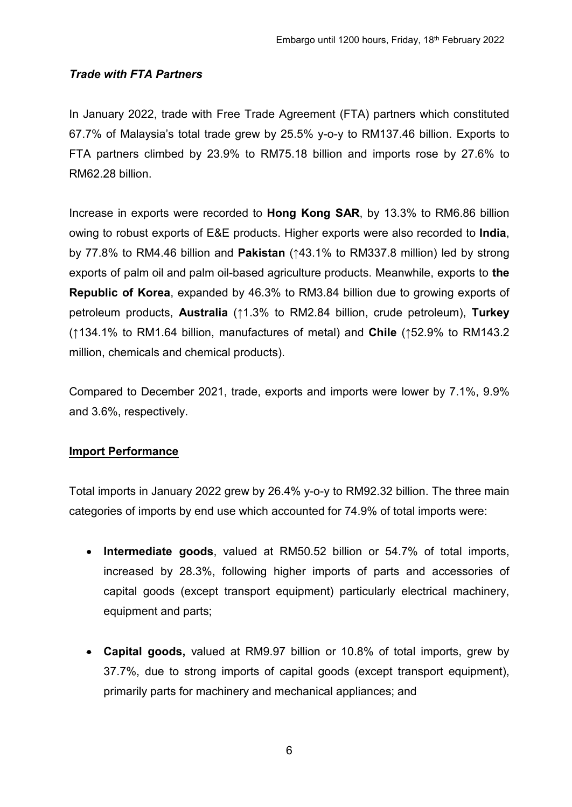# *Trade with FTA Partners*

In January 2022, trade with Free Trade Agreement (FTA) partners which constituted 67.7% of Malaysia's total trade grew by 25.5% y-o-y to RM137.46 billion. Exports to FTA partners climbed by 23.9% to RM75.18 billion and imports rose by 27.6% to RM62.28 billion.

Increase in exports were recorded to **Hong Kong SAR**, by 13.3% to RM6.86 billion owing to robust exports of E&E products. Higher exports were also recorded to **India**, by 77.8% to RM4.46 billion and **Pakistan** (↑43.1% to RM337.8 million) led by strong exports of palm oil and palm oil-based agriculture products. Meanwhile, exports to **the Republic of Korea**, expanded by 46.3% to RM3.84 billion due to growing exports of petroleum products, **Australia** (↑1.3% to RM2.84 billion, crude petroleum), **Turkey** (↑134.1% to RM1.64 billion, manufactures of metal) and **Chile** (↑52.9% to RM143.2 million, chemicals and chemical products).

Compared to December 2021, trade, exports and imports were lower by 7.1%, 9.9% and 3.6%, respectively.

#### **Import Performance**

Total imports in January 2022 grew by 26.4% y-o-y to RM92.32 billion. The three main categories of imports by end use which accounted for 74.9% of total imports were:

- **Intermediate goods**, valued at RM50.52 billion or 54.7% of total imports, increased by 28.3%, following higher imports of parts and accessories of capital goods (except transport equipment) particularly electrical machinery, equipment and parts;
- **Capital goods,** valued at RM9.97 billion or 10.8% of total imports, grew by 37.7%, due to strong imports of capital goods (except transport equipment), primarily parts for machinery and mechanical appliances; and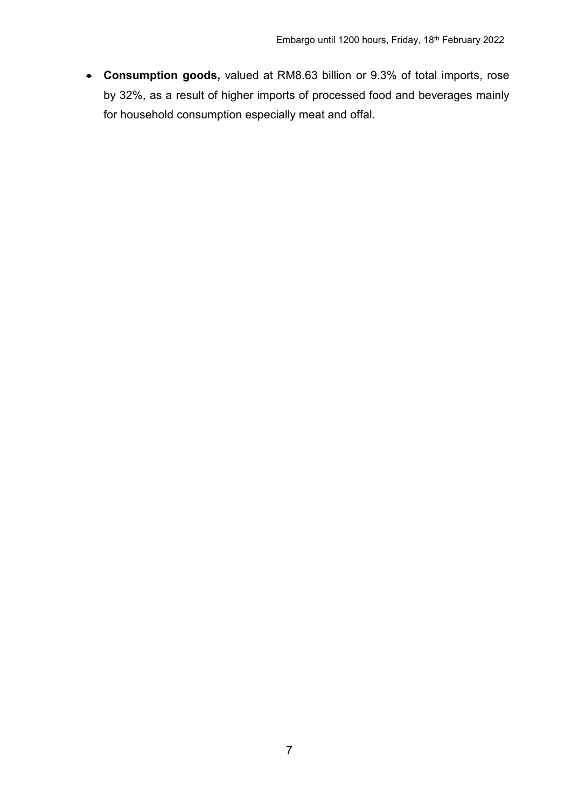• **Consumption goods,** valued at RM8.63 billion or 9.3% of total imports, rose by 32%, as a result of higher imports of processed food and beverages mainly for household consumption especially meat and offal.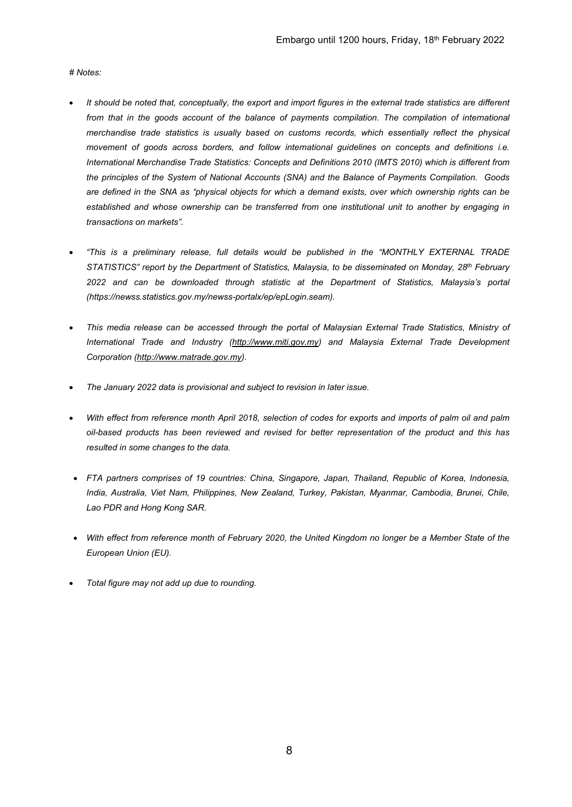#### *# Notes:*

- *It should be noted that, conceptually, the export and import figures in the external trade statistics are different*  from that in the goods account of the balance of payments compilation. The compilation of international *merchandise trade statistics is usually based on customs records, which essentially reflect the physical movement of goods across borders, and follow international guidelines on concepts and definitions i.e. International Merchandise Trade Statistics: Concepts and Definitions 2010 (IMTS 2010) which is different from the principles of the System of National Accounts (SNA) and the Balance of Payments Compilation. Goods are defined in the SNA as "physical objects for which a demand exists, over which ownership rights can be established and whose ownership can be transferred from one institutional unit to another by engaging in transactions on markets".*
- *"This is a preliminary release, full details would be published in the "MONTHLY EXTERNAL TRADE STATISTICS" report by the Department of Statistics, Malaysia, to be disseminated on Monday, 28th February 2022 and can be downloaded through statistic at the Department of Statistics, Malaysia's portal (https://newss.statistics.gov.my/newss-portalx/ep/epLogin.seam).*
- *This media release can be accessed through the portal of Malaysian External Trade Statistics, Ministry of International Trade and Industry [\(http://www.miti.gov.my\)](http://www.miti.gov.my/) and Malaysia External Trade Development Corporation [\(http://www.matrade.gov.my\)](http://www.matrade.gov.my/).*
- *The January 2022 data is provisional and subject to revision in later issue.*
- *With effect from reference month April 2018, selection of codes for exports and imports of palm oil and palm oil-based products has been reviewed and revised for better representation of the product and this has resulted in some changes to the data.*
- *FTA partners comprises of 19 countries: China, Singapore, Japan, Thailand, Republic of Korea, Indonesia, India, Australia, Viet Nam, Philippines, New Zealand, Turkey, Pakistan, Myanmar, Cambodia, Brunei, Chile, Lao PDR and Hong Kong SAR.*
- *With effect from reference month of February 2020, the United Kingdom no longer be a Member State of the European Union (EU).*
- *Total figure may not add up due to rounding.*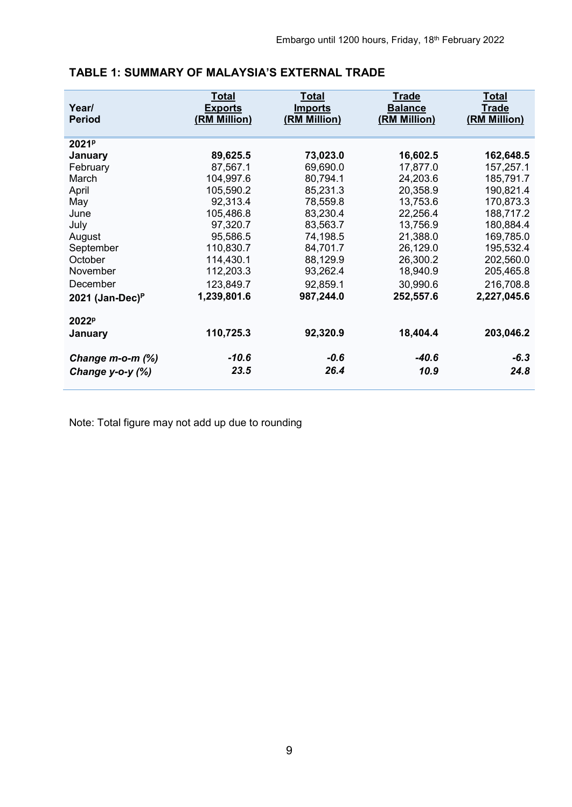| Year/<br><b>Period</b> | <b>Total</b><br><b>Exports</b><br>(RM Million) | <b>Total</b><br><b>Imports</b><br>(RM Million) | <b>Trade</b><br><b>Balance</b><br>(RM Million) | <u>Total</u><br><b>Trade</b><br>(RM Million) |
|------------------------|------------------------------------------------|------------------------------------------------|------------------------------------------------|----------------------------------------------|
| 2021 <sup>p</sup>      |                                                |                                                |                                                |                                              |
| January                | 89,625.5                                       | 73,023.0                                       | 16,602.5                                       | 162,648.5                                    |
| February               | 87,567.1                                       | 69,690.0                                       | 17,877.0                                       | 157,257.1                                    |
| March                  | 104,997.6                                      | 80,794.1                                       | 24,203.6                                       | 185,791.7                                    |
| April                  | 105,590.2                                      | 85,231.3                                       | 20,358.9                                       | 190,821.4                                    |
| May                    | 92,313.4                                       | 78,559.8                                       | 13,753.6                                       | 170,873.3                                    |
| June                   | 105,486.8                                      | 83,230.4                                       | 22,256.4                                       | 188,717.2                                    |
| July                   | 97,320.7                                       | 83,563.7                                       | 13,756.9                                       | 180,884.4                                    |
| August                 | 95,586.5                                       | 74,198.5                                       | 21,388.0                                       | 169,785.0                                    |
| September              | 110,830.7                                      | 84,701.7                                       | 26,129.0                                       | 195,532.4                                    |
| October                | 114,430.1                                      | 88,129.9                                       | 26,300.2                                       | 202,560.0                                    |
| November               | 112,203.3                                      | 93,262.4                                       | 18,940.9                                       | 205,465.8                                    |
| December               | 123,849.7                                      | 92,859.1                                       | 30,990.6                                       | 216,708.8                                    |
| 2021 (Jan-Dec) $P$     | 1,239,801.6                                    | 987,244.0                                      | 252,557.6                                      | 2,227,045.6                                  |
| 2022 <sup>p</sup>      |                                                |                                                |                                                |                                              |
| January                | 110,725.3                                      | 92,320.9                                       | 18,404.4                                       | 203,046.2                                    |
| Change $m$ -o-m $(\%)$ | $-10.6$                                        | $-0.6$                                         | $-40.6$                                        | $-6.3$                                       |
| Change $y$ -o- $y$ (%) | 23.5                                           | 26.4                                           | 10.9                                           | 24.8                                         |

# **TABLE 1: SUMMARY OF MALAYSIA'S EXTERNAL TRADE**

Note: Total figure may not add up due to rounding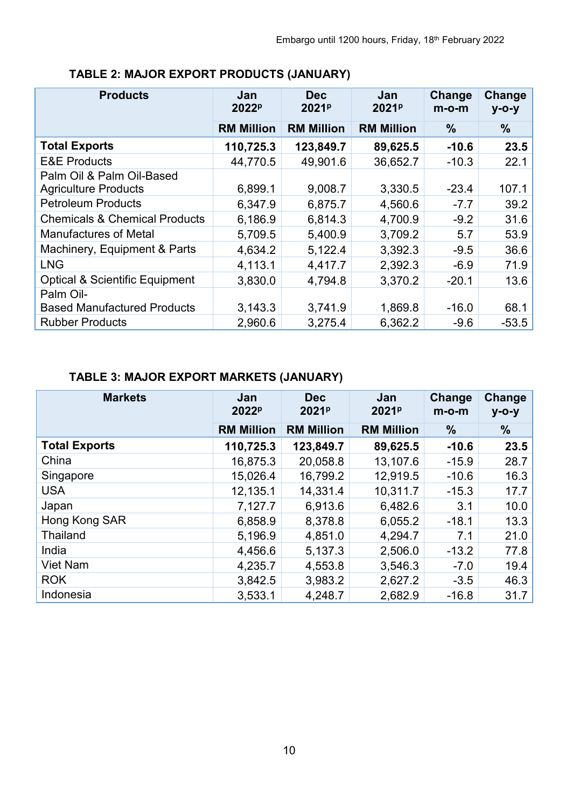| <b>Products</b>                           | Jan<br>2022 <sup>p</sup> | <b>Dec</b><br>2021 <sup>p</sup> | Jan<br>2021 <sup>p</sup> | Change<br>$m$ -o-m | Change<br>$y - 0 - y$ |
|-------------------------------------------|--------------------------|---------------------------------|--------------------------|--------------------|-----------------------|
|                                           | <b>RM Million</b>        | <b>RM Million</b>               | <b>RM Million</b>        | $\frac{9}{6}$      | $\%$                  |
| <b>Total Exports</b>                      | 110,725.3                | 123,849.7                       | 89,625.5                 | $-10.6$            | 23.5                  |
| <b>E&amp;E Products</b>                   | 44,770.5                 | 49,901.6                        | 36,652.7                 | $-10.3$            | 22.1                  |
| Palm Oil & Palm Oil-Based                 |                          |                                 |                          |                    |                       |
| <b>Agriculture Products</b>               | 6,899.1                  | 9,008.7                         | 3,330.5                  | $-23.4$            | 107.1                 |
| <b>Petroleum Products</b>                 | 6,347.9                  | 6,875.7                         | 4,560.6                  | $-7.7$             | 39.2                  |
| <b>Chemicals &amp; Chemical Products</b>  | 6,186.9                  | 6,814.3                         | 4,700.9                  | $-9.2$             | 31.6                  |
| <b>Manufactures of Metal</b>              | 5,709.5                  | 5,400.9                         | 3,709.2                  | 5.7                | 53.9                  |
| Machinery, Equipment & Parts              | 4,634.2                  | 5,122.4                         | 3,392.3                  | $-9.5$             | 36.6                  |
| <b>LNG</b>                                | 4,113.1                  | 4,417.7                         | 2,392.3                  | $-6.9$             | 71.9                  |
| <b>Optical &amp; Scientific Equipment</b> | 3,830.0                  | 4,794.8                         | 3,370.2                  | $-20.1$            | 13.6                  |
| Palm Oil-                                 |                          |                                 |                          |                    |                       |
| <b>Based Manufactured Products</b>        | 3,143.3                  | 3,741.9                         | 1,869.8                  | $-16.0$            | 68.1                  |
| <b>Rubber Products</b>                    | 2,960.6                  | 3,275.4                         | 6,362.2                  | $-9.6$             | $-53.5$               |

# **TABLE 2: MAJOR EXPORT PRODUCTS (JANUARY)**

# **TABLE 3: MAJOR EXPORT MARKETS (JANUARY)**

| <b>Markets</b>       | Jan<br>2022 <sup>p</sup> | <b>Dec</b><br>2021 <sup>p</sup> | Jan<br>2021 <sup>p</sup> | Change<br>$m$ -o-m | Change<br>$y$ -O- $y$ |
|----------------------|--------------------------|---------------------------------|--------------------------|--------------------|-----------------------|
|                      | <b>RM Million</b>        | <b>RM Million</b>               | <b>RM Million</b>        | $\%$               | $\frac{9}{6}$         |
| <b>Total Exports</b> | 110,725.3                | 123,849.7                       | 89,625.5                 | $-10.6$            | 23.5                  |
| China                | 16,875.3                 | 20,058.8                        | 13,107.6                 | $-15.9$            | 28.7                  |
| Singapore            | 15,026.4                 | 16,799.2                        | 12,919.5                 | $-10.6$            | 16.3                  |
| <b>USA</b>           | 12,135.1                 | 14,331.4                        | 10,311.7                 | $-15.3$            | 17.7                  |
| Japan                | 7,127.7                  | 6,913.6                         | 6,482.6                  | 3.1                | 10.0                  |
| Hong Kong SAR        | 6,858.9                  | 8,378.8                         | 6,055.2                  | $-18.1$            | 13.3                  |
| <b>Thailand</b>      | 5,196.9                  | 4,851.0                         | 4,294.7                  | 7.1                | 21.0                  |
| India                | 4,456.6                  | 5,137.3                         | 2,506.0                  | $-13.2$            | 77.8                  |
| <b>Viet Nam</b>      | 4,235.7                  | 4,553.8                         | 3,546.3                  | $-7.0$             | 19.4                  |
| <b>ROK</b>           | 3,842.5                  | 3,983.2                         | 2,627.2                  | $-3.5$             | 46.3                  |
| Indonesia            | 3,533.1                  | 4,248.7                         | 2,682.9                  | $-16.8$            | 31.7                  |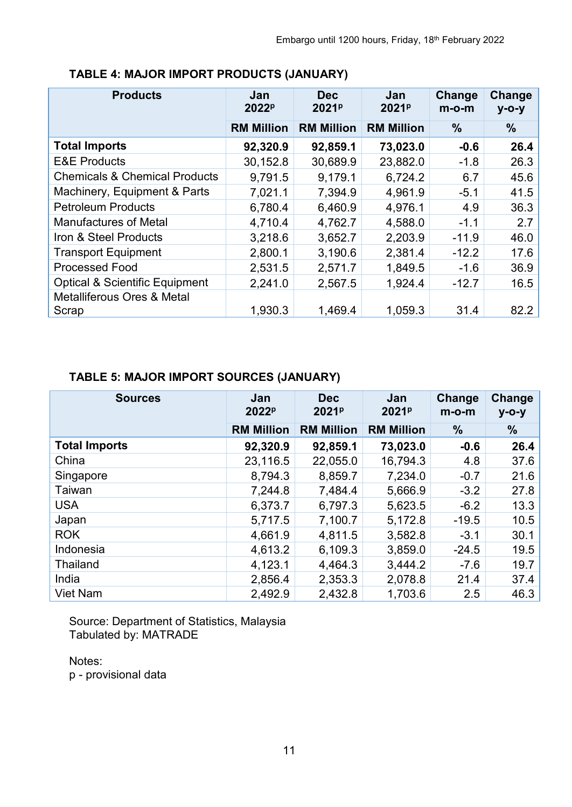| <b>Products</b>                                | Jan<br>2022 <sup>p</sup> | <b>Dec</b><br>2021 <sup>p</sup> | Jan<br>2021 <sup>p</sup> | Change<br>$m$ -o-m | Change<br>$y$ -O- $y$ |
|------------------------------------------------|--------------------------|---------------------------------|--------------------------|--------------------|-----------------------|
|                                                | <b>RM Million</b>        | <b>RM Million</b>               | <b>RM Million</b>        | $\%$               | $\%$                  |
| <b>Total Imports</b>                           | 92,320.9                 | 92,859.1                        | 73,023.0                 | $-0.6$             | 26.4                  |
| <b>E&amp;E Products</b>                        | 30,152.8                 | 30,689.9                        | 23,882.0                 | $-1.8$             | 26.3                  |
| <b>Chemicals &amp; Chemical Products</b>       | 9,791.5                  | 9,179.1                         | 6,724.2                  | 6.7                | 45.6                  |
| Machinery, Equipment & Parts                   | 7,021.1                  | 7,394.9                         | 4,961.9                  | $-5.1$             | 41.5                  |
| <b>Petroleum Products</b>                      | 6,780.4                  | 6,460.9                         | 4,976.1                  | 4.9                | 36.3                  |
| <b>Manufactures of Metal</b>                   | 4,710.4                  | 4,762.7                         | 4,588.0                  | $-1.1$             | 2.7                   |
| Iron & Steel Products                          | 3,218.6                  | 3,652.7                         | 2,203.9                  | $-11.9$            | 46.0                  |
| <b>Transport Equipment</b>                     | 2,800.1                  | 3,190.6                         | 2,381.4                  | $-12.2$            | 17.6                  |
| <b>Processed Food</b>                          | 2,531.5                  | 2,571.7                         | 1,849.5                  | $-1.6$             | 36.9                  |
| <b>Optical &amp; Scientific Equipment</b>      | 2,241.0                  | 2,567.5                         | 1,924.4                  | $-12.7$            | 16.5                  |
| <b>Metalliferous Ores &amp; Metal</b><br>Scrap | 1,930.3                  | 1,469.4                         | 1,059.3                  | 31.4               | 82.2                  |

# **TABLE 4: MAJOR IMPORT PRODUCTS (JANUARY)**

# **TABLE 5: MAJOR IMPORT SOURCES (JANUARY)**

| <b>Sources</b>       | Jan<br>2022 <sup>p</sup> | <b>Dec</b><br>2021 <sup>p</sup> | Jan<br>2021 <sup>p</sup> | Change<br>$m$ -o-m | Change<br>$y$ -O- $y$ |
|----------------------|--------------------------|---------------------------------|--------------------------|--------------------|-----------------------|
|                      | <b>RM Million</b>        | <b>RM Million</b>               | <b>RM Million</b>        | $\%$               | $\%$                  |
| <b>Total Imports</b> | 92,320.9                 | 92,859.1                        | 73,023.0                 | $-0.6$             | 26.4                  |
| China                | 23,116.5                 | 22,055.0                        | 16,794.3                 | 4.8                | 37.6                  |
| Singapore            | 8,794.3                  | 8,859.7                         | 7,234.0                  | $-0.7$             | 21.6                  |
| Taiwan               | 7,244.8                  | 7,484.4                         | 5,666.9                  | $-3.2$             | 27.8                  |
| <b>USA</b>           | 6,373.7                  | 6,797.3                         | 5,623.5                  | $-6.2$             | 13.3                  |
| Japan                | 5,717.5                  | 7,100.7                         | 5,172.8                  | $-19.5$            | 10.5                  |
| <b>ROK</b>           | 4,661.9                  | 4,811.5                         | 3,582.8                  | $-3.1$             | 30.1                  |
| Indonesia            | 4,613.2                  | 6,109.3                         | 3,859.0                  | $-24.5$            | 19.5                  |
| Thailand             | 4,123.1                  | 4,464.3                         | 3,444.2                  | $-7.6$             | 19.7                  |
| India                | 2,856.4                  | 2,353.3                         | 2,078.8                  | 21.4               | 37.4                  |
| <b>Viet Nam</b>      | 2,492.9                  | 2,432.8                         | 1,703.6                  | 2.5                | 46.3                  |

Source: Department of Statistics, Malaysia Tabulated by: MATRADE

Notes:

p - provisional data